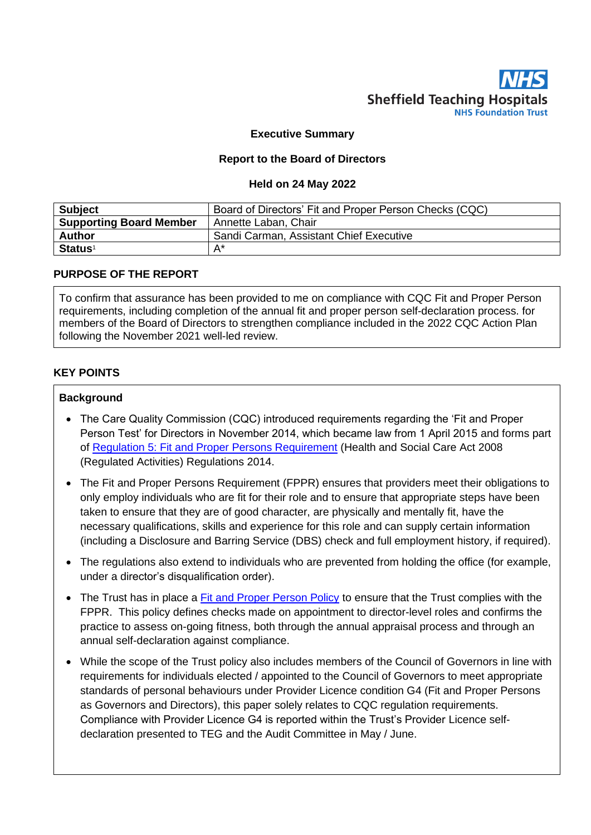

# **Executive Summary**

### **Report to the Board of Directors**

#### **Held on 24 May 2022**

| <b>Subject</b>                 | Board of Directors' Fit and Proper Person Checks (CQC) |  |  |
|--------------------------------|--------------------------------------------------------|--|--|
| <b>Supporting Board Member</b> | Annette Laban, Chair                                   |  |  |
| <b>Author</b>                  | Sandi Carman, Assistant Chief Executive                |  |  |
| <b>Status<sup>1</sup></b>      | А*                                                     |  |  |

### **PURPOSE OF THE REPORT**

To confirm that assurance has been provided to me on compliance with CQC Fit and Proper Person requirements, including completion of the annual fit and proper person self-declaration process. for members of the Board of Directors to strengthen compliance included in the 2022 CQC Action Plan following the November 2021 well-led review.

# **KEY POINTS**

### **Background**

- The Care Quality Commission (CQC) introduced requirements regarding the 'Fit and Proper Person Test' for Directors in November 2014, which became law from 1 April 2015 and forms part of [Regulation 5: Fit and Proper Persons Requirement](http://www.cqc.org.uk/content/regulation-5-fit-and-proper-persons-directors) (Health and Social Care Act 2008 (Regulated Activities) Regulations 2014.
- The Fit and Proper Persons Requirement (FPPR) ensures that providers meet their obligations to only employ individuals who are fit for their role and to ensure that appropriate steps have been taken to ensure that they are of good character, are physically and mentally fit, have the necessary qualifications, skills and experience for this role and can supply certain information (including a Disclosure and Barring Service (DBS) check and full employment history, if required).
- The regulations also extend to individuals who are prevented from holding the office (for example, under a director's disqualification order).
- The Trust has in place a [Fit and Proper Person Policy](http://nww.sth.nhs.uk/STHcontDocs/STH_Pol/HumanResources/FitandProperPersonPolicy.doc) to ensure that the Trust complies with the FPPR. This policy defines checks made on appointment to director-level roles and confirms the practice to assess on-going fitness, both through the annual appraisal process and through an annual self-declaration against compliance.
- While the scope of the Trust policy also includes members of the Council of Governors in line with requirements for individuals elected / appointed to the Council of Governors to meet appropriate standards of personal behaviours under Provider Licence condition G4 (Fit and Proper Persons as Governors and Directors), this paper solely relates to CQC regulation requirements. Compliance with Provider Licence G4 is reported within the Trust's Provider Licence selfdeclaration presented to TEG and the Audit Committee in May / June.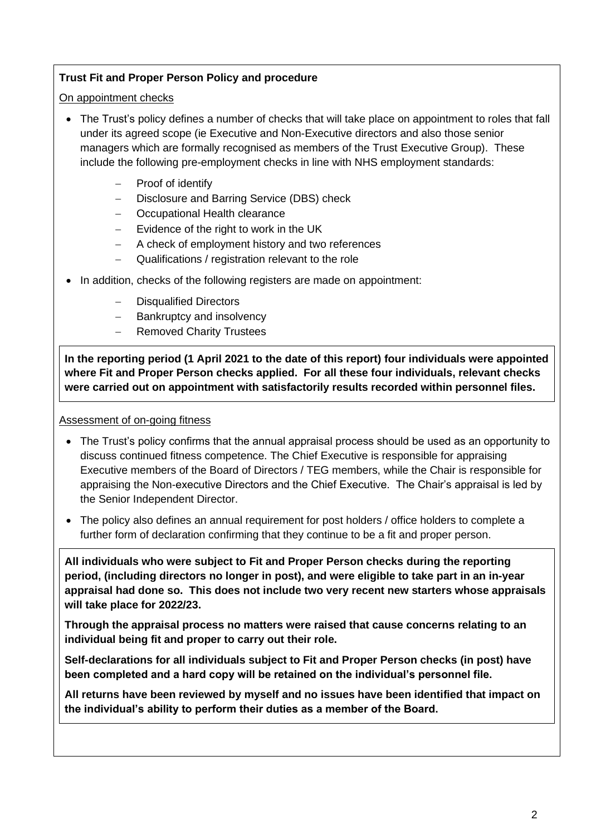# **Trust Fit and Proper Person Policy and procedure**

## On appointment checks

- The Trust's policy defines a number of checks that will take place on appointment to roles that fall under its agreed scope (ie Executive and Non-Executive directors and also those senior managers which are formally recognised as members of the Trust Executive Group). These include the following pre-employment checks in line with NHS employment standards:
	- Proof of identify
	- − Disclosure and Barring Service (DBS) check
	- − Occupational Health clearance
	- − Evidence of the right to work in the UK
	- − A check of employment history and two references
	- Qualifications / registration relevant to the role
- In addition, checks of the following registers are made on appointment:
	- Disqualified Directors
	- Bankruptcy and insolvency
	- − Removed Charity Trustees

**In the reporting period (1 April 2021 to the date of this report) four individuals were appointed where Fit and Proper Person checks applied. For all these four individuals, relevant checks were carried out on appointment with satisfactorily results recorded within personnel files.**

## Assessment of on-going fitness

- The Trust's policy confirms that the annual appraisal process should be used as an opportunity to discuss continued fitness competence. The Chief Executive is responsible for appraising Executive members of the Board of Directors / TEG members, while the Chair is responsible for appraising the Non-executive Directors and the Chief Executive. The Chair's appraisal is led by the Senior Independent Director.
- The policy also defines an annual requirement for post holders / office holders to complete a further form of declaration confirming that they continue to be a fit and proper person.

**All individuals who were subject to Fit and Proper Person checks during the reporting period, (including directors no longer in post), and were eligible to take part in an in-year appraisal had done so. This does not include two very recent new starters whose appraisals will take place for 2022/23.**

**Through the appraisal process no matters were raised that cause concerns relating to an individual being fit and proper to carry out their role.**

**Self-declarations for all individuals subject to Fit and Proper Person checks (in post) have been completed and a hard copy will be retained on the individual's personnel file.** 

**All returns have been reviewed by myself and no issues have been identified that impact on the individual's ability to perform their duties as a member of the Board.**